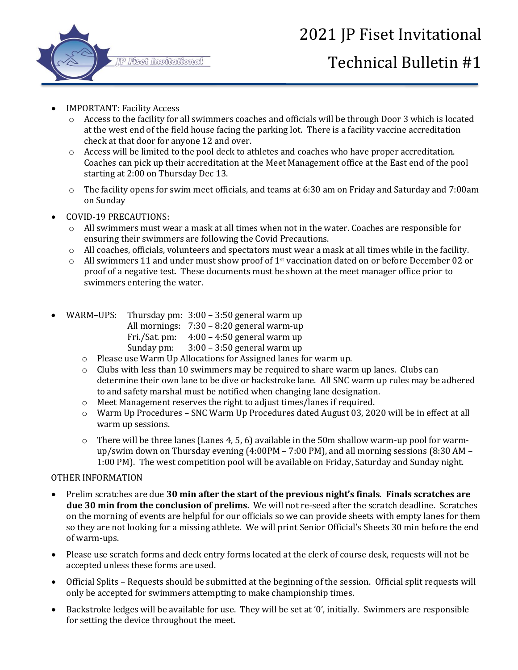

## 2021 JP Fiset Invitational

## Technical Bulletin #1

- IMPORTANT: Facility Access
	- o Access to the facility for all swimmers coaches and officials will be through Door 3 which is located at the west end of the field house facing the parking lot. There is a facility vaccine accreditation check at that door for anyone 12 and over.
	- o Access will be limited to the pool deck to athletes and coaches who have proper accreditation. Coaches can pick up their accreditation at the Meet Management office at the East end of the pool starting at 2:00 on Thursday Dec 13.
	- o The facility opens for swim meet officials, and teams at 6:30 am on Friday and Saturday and 7:00am on Sunday
- COVID-19 PRECAUTIONS:
	- o All swimmers must wear a mask at all times when not in the water. Coaches are responsible for ensuring their swimmers are following the Covid Precautions.
	- $\circ$  All coaches, officials, volunteers and spectators must wear a mask at all times while in the facility.
	- $\circ$  All swimmers 11 and under must show proof of 1<sup>st</sup> vaccination dated on or before December 02 or proof of a negative test. These documents must be shown at the meet manager office prior to swimmers entering the water.
- WARM–UPS: Thursday pm: 3:00 3:50 general warm up
	- All mornings: 7:30 8:20 general warm-up
		- Fri./Sat. pm: 4:00 4:50 general warm up
			- Sunday pm: 3:00 3:50 general warm up
	- o Please use Warm Up Allocations for Assigned lanes for warm up.
	- $\circ$  Clubs with less than 10 swimmers may be required to share warm up lanes. Clubs can determine their own lane to be dive or backstroke lane. All SNC warm up rules may be adhered to and safety marshal must be notified when changing lane designation.
	- o Meet Management reserves the right to adjust times/lanes if required.
	- o Warm Up Procedures SNC Warm Up Procedures dated August 03, 2020 will be in effect at all warm up sessions.
	- $\circ$  There will be three lanes (Lanes 4, 5, 6) available in the 50m shallow warm-up pool for warmup/swim down on Thursday evening (4:00PM – 7:00 PM), and all morning sessions (8:30 AM – 1:00 PM). The west competition pool will be available on Friday, Saturday and Sunday night.

## OTHER INFORMATION

- Prelim scratches are due **30 min after the start of the previous night's finals**. **Finals scratches are due 30 min from the conclusion of prelims.** We will not re-seed after the scratch deadline. Scratches on the morning of events are helpful for our officials so we can provide sheets with empty lanes for them so they are not looking for a missing athlete. We will print Senior Official's Sheets 30 min before the end of warm-ups.
- Please use scratch forms and deck entry forms located at the clerk of course desk, requests will not be accepted unless these forms are used.
- Official Splits Requests should be submitted at the beginning of the session. Official split requests will only be accepted for swimmers attempting to make championship times.
- Backstroke ledges will be available for use. They will be set at '0', initially. Swimmers are responsible for setting the device throughout the meet.